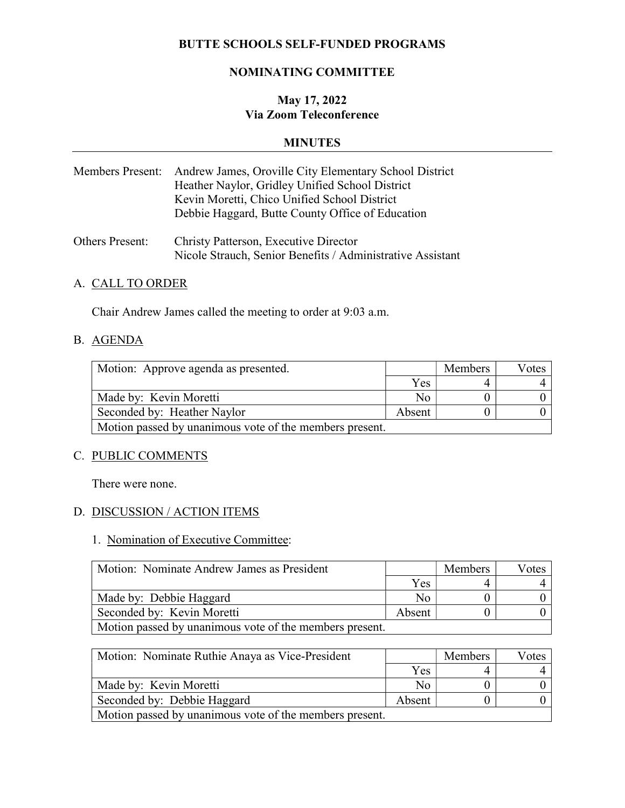## BUTTE SCHOOLS SELF-FUNDED PROGRAMS

#### NOMINATING COMMITTEE

# May 17, 2022 Via Zoom Teleconference

#### MINUTES

| Members Present: Andrew James, Oroville City Elementary School District |
|-------------------------------------------------------------------------|
| Heather Naylor, Gridley Unified School District                         |
| Kevin Moretti, Chico Unified School District                            |
| Debbie Haggard, Butte County Office of Education                        |
|                                                                         |

Others Present: Christy Patterson, Executive Director Nicole Strauch, Senior Benefits / Administrative Assistant

### A. CALL TO ORDER

Chair Andrew James called the meeting to order at 9:03 a.m.

#### B. AGENDA

| Motion: Approve agenda as presented.                    |        | <b>Members</b> | Votes |
|---------------------------------------------------------|--------|----------------|-------|
|                                                         | Yes    |                |       |
| Made by: Kevin Moretti                                  | No     |                |       |
| Seconded by: Heather Naylor                             | Absent |                |       |
| Motion passed by unanimous vote of the members present. |        |                |       |

## C. PUBLIC COMMENTS

There were none.

# D. DISCUSSION / ACTION ITEMS

# 1. Nomination of Executive Committee:

| Motion: Nominate Andrew James as President              |        | <b>Members</b> | Votes |
|---------------------------------------------------------|--------|----------------|-------|
|                                                         | Yes    |                |       |
| Made by: Debbie Haggard                                 | Nο     |                |       |
| Seconded by: Kevin Moretti                              | Absent |                |       |
| Motion passed by unanimous vote of the members present. |        |                |       |

| Motion: Nominate Ruthie Anaya as Vice-President         |     | Members | Votes |
|---------------------------------------------------------|-----|---------|-------|
|                                                         | Yes |         |       |
| Made by: Kevin Moretti                                  | Nο  |         |       |
| Seconded by: Debbie Haggard                             |     |         |       |
| Motion passed by unanimous vote of the members present. |     |         |       |